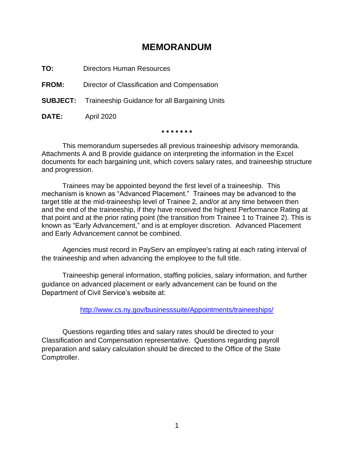# **MEMORANDUM**

**TO:** Directors Human Resources

**FROM:** Director of Classification and Compensation

**SUBJECT:** Traineeship Guidance for all Bargaining Units

**DATE:** April 2020

**\* \* \* \* \* \* \***

This memorandum supersedes all previous traineeship advisory memoranda. Attachments A and B provide guidance on interpreting the information in the Excel documents for each bargaining unit, which covers salary rates, and traineeship structure and progression.

Trainees may be appointed beyond the first level of a traineeship. This mechanism is known as "Advanced Placement." Trainees may be advanced to the target title at the mid-traineeship level of Trainee 2, and/or at any time between then and the end of the traineeship, if they have received the highest Performance Rating at that point and at the prior rating point (the transition from Trainee 1 to Trainee 2). This is known as "Early Advancement," and is at employer discretion. Advanced Placement and Early Advancement cannot be combined.

Agencies must record in PayServ an employee's rating at each rating interval of the traineeship and when advancing the employee to the full title.

Traineeship general information, staffing policies, salary information, and further guidance on advanced placement or early advancement can be found on the Department of Civil Service's website at:

[http://www.cs.ny.gov/businesssuite/Appointments/traineeships/](http://www.cs.ny.gov/businesssuite/Appointments/Traineeships/)

Questions regarding titles and salary rates should be directed to your Classification and Compensation representative. Questions regarding payroll preparation and salary calculation should be directed to the Office of the State Comptroller.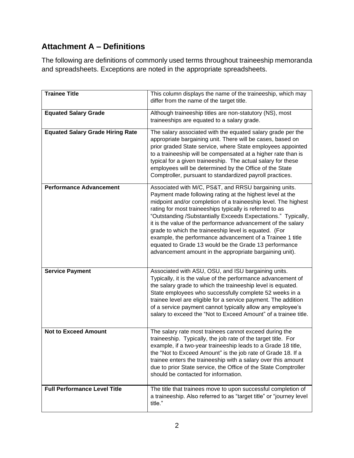# **Attachment A – Definitions**

The following are definitions of commonly used terms throughout traineeship memoranda and spreadsheets. Exceptions are noted in the appropriate spreadsheets.

| <b>Trainee Title</b>                    | This column displays the name of the traineeship, which may<br>differ from the name of the target title.                                                                                                                                                                                                                                                                                                                                                                                                                                                                                                                    |
|-----------------------------------------|-----------------------------------------------------------------------------------------------------------------------------------------------------------------------------------------------------------------------------------------------------------------------------------------------------------------------------------------------------------------------------------------------------------------------------------------------------------------------------------------------------------------------------------------------------------------------------------------------------------------------------|
| <b>Equated Salary Grade</b>             | Although traineeship titles are non-statutory (NS), most<br>traineeships are equated to a salary grade.                                                                                                                                                                                                                                                                                                                                                                                                                                                                                                                     |
| <b>Equated Salary Grade Hiring Rate</b> | The salary associated with the equated salary grade per the<br>appropriate bargaining unit. There will be cases, based on<br>prior graded State service, where State employees appointed<br>to a traineeship will be compensated at a higher rate than is<br>typical for a given traineeship. The actual salary for these<br>employees will be determined by the Office of the State<br>Comptroller, pursuant to standardized payroll practices.                                                                                                                                                                            |
| <b>Performance Advancement</b>          | Associated with M/C, PS&T, and RRSU bargaining units.<br>Payment made following rating at the highest level at the<br>midpoint and/or completion of a traineeship level. The highest<br>rating for most traineeships typically is referred to as<br>"Outstanding /Substantially Exceeds Expectations." Typically,<br>it is the value of the performance advancement of the salary<br>grade to which the traineeship level is equated. (For<br>example, the performance advancement of a Trainee 1 title<br>equated to Grade 13 would be the Grade 13 performance<br>advancement amount in the appropriate bargaining unit). |
| <b>Service Payment</b>                  | Associated with ASU, OSU, and ISU bargaining units.<br>Typically, it is the value of the performance advancement of<br>the salary grade to which the traineeship level is equated.<br>State employees who successfully complete 52 weeks in a<br>trainee level are eligible for a service payment. The addition<br>of a service payment cannot typically allow any employee's<br>salary to exceed the "Not to Exceed Amount" of a trainee title.                                                                                                                                                                            |
| <b>Not to Exceed Amount</b>             | The salary rate most trainees cannot exceed during the<br>traineeship. Typically, the job rate of the target title. For<br>example, if a two-year traineeship leads to a Grade 18 title,<br>the "Not to Exceed Amount" is the job rate of Grade 18. If a<br>trainee enters the traineeship with a salary over this amount<br>due to prior State service, the Office of the State Comptroller<br>should be contacted for information.                                                                                                                                                                                        |
| <b>Full Performance Level Title</b>     | The title that trainees move to upon successful completion of<br>a traineeship. Also referred to as "target title" or "journey level<br>title."                                                                                                                                                                                                                                                                                                                                                                                                                                                                             |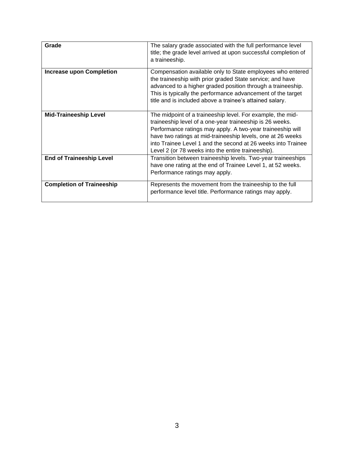| Grade                            | The salary grade associated with the full performance level<br>title; the grade level arrived at upon successful completion of<br>a traineeship.                                                                                                                                                                                                                          |
|----------------------------------|---------------------------------------------------------------------------------------------------------------------------------------------------------------------------------------------------------------------------------------------------------------------------------------------------------------------------------------------------------------------------|
| <b>Increase upon Completion</b>  | Compensation available only to State employees who entered<br>the traineeship with prior graded State service; and have<br>advanced to a higher graded position through a traineeship.<br>This is typically the performance advancement of the target<br>title and is included above a trainee's attained salary.                                                         |
| <b>Mid-Traineeship Level</b>     | The midpoint of a traineeship level. For example, the mid-<br>traineeship level of a one-year traineeship is 26 weeks.<br>Performance ratings may apply. A two-year traineeship will<br>have two ratings at mid-traineeship levels, one at 26 weeks<br>into Trainee Level 1 and the second at 26 weeks into Trainee<br>Level 2 (or 78 weeks into the entire traineeship). |
| <b>End of Traineeship Level</b>  | Transition between traineeship levels. Two-year traineeships<br>have one rating at the end of Trainee Level 1, at 52 weeks.<br>Performance ratings may apply.                                                                                                                                                                                                             |
| <b>Completion of Traineeship</b> | Represents the movement from the traineeship to the full<br>performance level title. Performance ratings may apply.                                                                                                                                                                                                                                                       |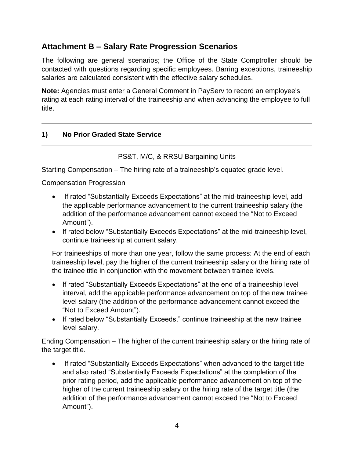# **Attachment B – Salary Rate Progression Scenarios**

The following are general scenarios; the Office of the State Comptroller should be contacted with questions regarding specific employees. Barring exceptions, traineeship salaries are calculated consistent with the effective salary schedules.

**Note:** Agencies must enter a General Comment in PayServ to record an employee's rating at each rating interval of the traineeship and when advancing the employee to full title.

## **1) No Prior Graded State Service**

## PS&T, M/C, & RRSU Bargaining Units

Starting Compensation – The hiring rate of a traineeship's equated grade level.

Compensation Progression

- If rated "Substantially Exceeds Expectations" at the mid-traineeship level, add the applicable performance advancement to the current traineeship salary (the addition of the performance advancement cannot exceed the "Not to Exceed Amount").
- If rated below "Substantially Exceeds Expectations" at the mid-traineeship level, continue traineeship at current salary.

For traineeships of more than one year, follow the same process: At the end of each traineeship level, pay the higher of the current traineeship salary or the hiring rate of the trainee title in conjunction with the movement between trainee levels.

- If rated "Substantially Exceeds Expectations" at the end of a traineeship level interval, add the applicable performance advancement on top of the new trainee level salary (the addition of the performance advancement cannot exceed the "Not to Exceed Amount").
- If rated below "Substantially Exceeds," continue traineeship at the new trainee level salary.

Ending Compensation – The higher of the current traineeship salary or the hiring rate of the target title.

• If rated "Substantially Exceeds Expectations" when advanced to the target title and also rated "Substantially Exceeds Expectations" at the completion of the prior rating period, add the applicable performance advancement on top of the higher of the current traineeship salary or the hiring rate of the target title (the addition of the performance advancement cannot exceed the "Not to Exceed Amount").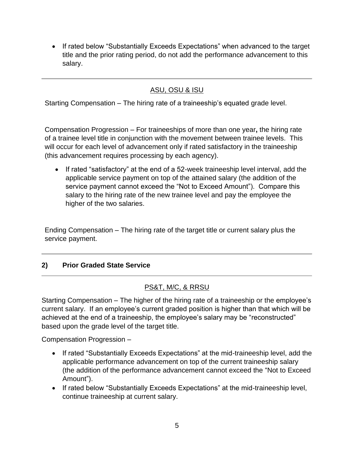• If rated below "Substantially Exceeds Expectations" when advanced to the target title and the prior rating period, do not add the performance advancement to this salary.

## ASU, OSU & ISU

Starting Compensation – The hiring rate of a traineeship's equated grade level.

Compensation Progression – For traineeships of more than one year**,** the hiring rate of a trainee level title in conjunction with the movement between trainee levels. This will occur for each level of advancement only if rated satisfactory in the traineeship (this advancement requires processing by each agency).

If rated "satisfactory" at the end of a 52-week traineeship level interval, add the applicable service payment on top of the attained salary (the addition of the service payment cannot exceed the "Not to Exceed Amount"). Compare this salary to the hiring rate of the new trainee level and pay the employee the higher of the two salaries.

Ending Compensation – The hiring rate of the target title or current salary plus the service payment.

## **2) Prior Graded State Service**

## PS&T, M/C, & RRSU

Starting Compensation – The higher of the hiring rate of a traineeship or the employee's current salary. If an employee's current graded position is higher than that which will be achieved at the end of a traineeship, the employee's salary may be "reconstructed" based upon the grade level of the target title.

Compensation Progression –

- If rated "Substantially Exceeds Expectations" at the mid-traineeship level, add the applicable performance advancement on top of the current traineeship salary (the addition of the performance advancement cannot exceed the "Not to Exceed Amount").
- If rated below "Substantially Exceeds Expectations" at the mid-traineeship level, continue traineeship at current salary.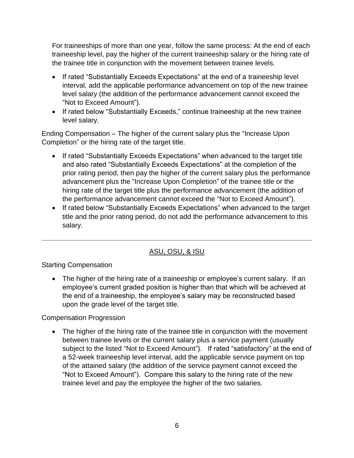For traineeships of more than one year, follow the same process: At the end of each traineeship level, pay the higher of the current traineeship salary or the hiring rate of the trainee title in conjunction with the movement between trainee levels.

- If rated "Substantially Exceeds Expectations" at the end of a traineeship level interval, add the applicable performance advancement on top of the new trainee level salary (the addition of the performance advancement cannot exceed the "Not to Exceed Amount").
- If rated below "Substantially Exceeds," continue traineeship at the new trainee level salary.

Ending Compensation – The higher of the current salary plus the "Increase Upon Completion" or the hiring rate of the target title.

- If rated "Substantially Exceeds Expectations" when advanced to the target title and also rated "Substantially Exceeds Expectations" at the completion of the prior rating period, then pay the higher of the current salary plus the performance advancement plus the "Increase Upon Completion" of the trainee title or the hiring rate of the target title plus the performance advancement (the addition of the performance advancement cannot exceed the "Not to Exceed Amount").
- If rated below "Substantially Exceeds Expectations" when advanced to the target title and the prior rating period, do not add the performance advancement to this salary.

## ASU, OSU, & ISU

## Starting Compensation

• The higher of the hiring rate of a traineeship or employee's current salary. If an employee's current graded position is higher than that which will be achieved at the end of a traineeship, the employee's salary may be reconstructed based upon the grade level of the target title.

## Compensation Progression

• The higher of the hiring rate of the trainee title in conjunction with the movement between trainee levels or the current salary plus a service payment (usually subject to the listed "Not to Exceed Amount"). If rated "satisfactory" at the end of a 52-week traineeship level interval, add the applicable service payment on top of the attained salary (the addition of the service payment cannot exceed the "Not to Exceed Amount"). Compare this salary to the hiring rate of the new trainee level and pay the employee the higher of the two salaries.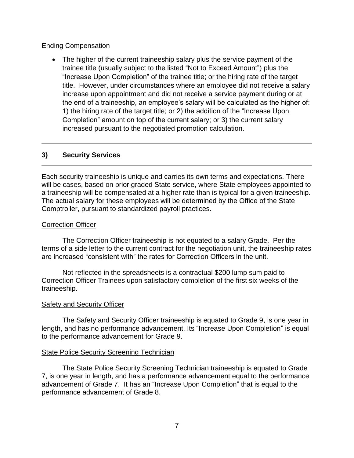Ending Compensation

• The higher of the current traineeship salary plus the service payment of the trainee title (usually subject to the listed "Not to Exceed Amount") plus the "Increase Upon Completion" of the trainee title; or the hiring rate of the target title. However, under circumstances where an employee did not receive a salary increase upon appointment and did not receive a service payment during or at the end of a traineeship, an employee's salary will be calculated as the higher of: 1) the hiring rate of the target title; or 2) the addition of the "Increase Upon Completion" amount on top of the current salary; or 3) the current salary increased pursuant to the negotiated promotion calculation.

#### **3) Security Services**

Each security traineeship is unique and carries its own terms and expectations. There will be cases, based on prior graded State service, where State employees appointed to a traineeship will be compensated at a higher rate than is typical for a given traineeship. The actual salary for these employees will be determined by the Office of the State Comptroller, pursuant to standardized payroll practices.

#### Correction Officer

The Correction Officer traineeship is not equated to a salary Grade. Per the terms of a side letter to the current contract for the negotiation unit, the traineeship rates are increased "consistent with" the rates for Correction Officers in the unit.

Not reflected in the spreadsheets is a contractual \$200 lump sum paid to Correction Officer Trainees upon satisfactory completion of the first six weeks of the traineeship.

#### Safety and Security Officer

The Safety and Security Officer traineeship is equated to Grade 9, is one year in length, and has no performance advancement. Its "Increase Upon Completion" is equal to the performance advancement for Grade 9.

#### **State Police Security Screening Technician**

The State Police Security Screening Technician traineeship is equated to Grade 7, is one year in length, and has a performance advancement equal to the performance advancement of Grade 7. It has an "Increase Upon Completion" that is equal to the performance advancement of Grade 8.